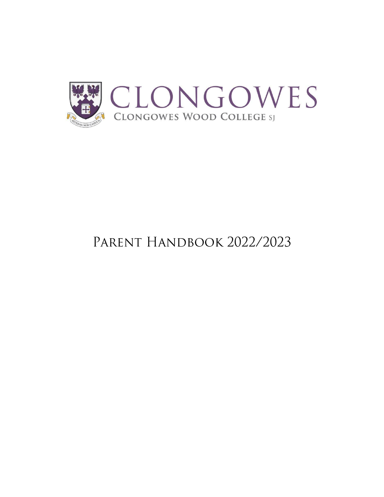

# PARENT HANDBOOK 2022/2023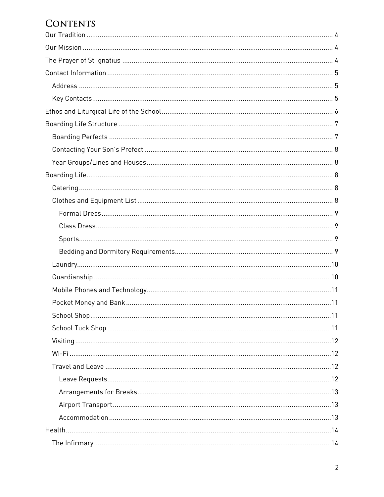## **CONTENTS**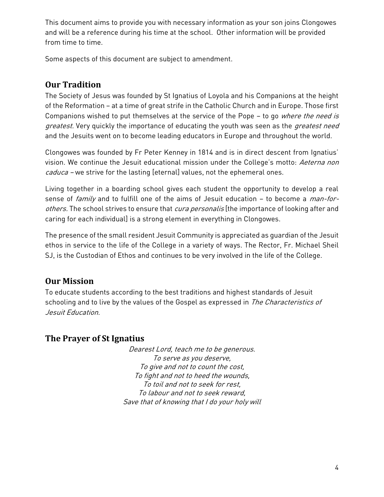This document aims to provide you with necessary information as your son joins Clongowes and will be a reference during his time at the school. Other information will be provided from time to time.

Some aspects of this document are subject to amendment.

## <span id="page-3-0"></span>**Our Tradition**

The Society of Jesus was founded by St Ignatius of Loyola and his Companions at the height of the Reformation – at a time of great strife in the Catholic Church and in Europe. Those first Companions wished to put themselves at the service of the Pope - to go where the need is greatest. Very quickly the importance of educating the youth was seen as the greatest need and the Jesuits went on to become leading educators in Europe and throughout the world.

Clongowes was founded by Fr Peter Kenney in 1814 and is in direct descent from Ignatius' vision. We continue the Jesuit educational mission under the College's motto: Aeterna non caduca - we strive for the lasting [eternal] values, not the ephemeral ones.

Living together in a boarding school gives each student the opportunity to develop a real sense of family and to fulfill one of the aims of Jesuit education - to become a man-forothers. The school strives to ensure that cura personalis [the importance of looking after and caring for each individual] is a strong element in everything in Clongowes.

The presence of the small resident Jesuit Community is appreciated as guardian of the Jesuit ethos in service to the life of the College in a variety of ways. The Rector, Fr. Michael Sheil SJ, is the Custodian of Ethos and continues to be very involved in the life of the College.

## <span id="page-3-1"></span>**Our Mission**

To educate students according to the best traditions and highest standards of Jesuit schooling and to live by the values of the Gospel as expressed in The Characteristics of Jesuit Education.

## <span id="page-3-2"></span>**The Prayer of St Ignatius**

Dearest Lord, teach me to be generous. To serve as you deserve, To give and not to count the cost, To fight and not to heed the wounds, To toil and not to seek for rest, To labour and not to seek reward, Save that of knowing that I do your holy will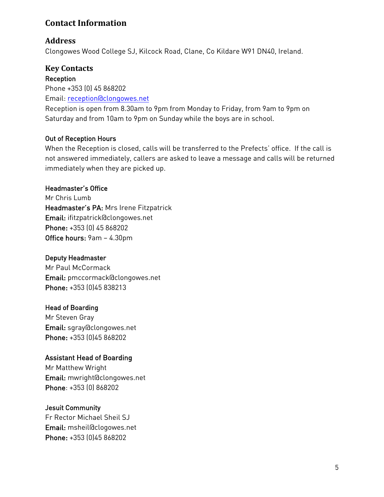## <span id="page-4-0"></span>**Contact Information**

#### <span id="page-4-1"></span>**Address**

Clongowes Wood College SJ, Kilcock Road, Clane, Co Kildare W91 DN40, Ireland.

#### <span id="page-4-2"></span>**Key Contacts**

Reception

Phone +353 (0) 45 868202

Email: [reception@clongowes.net](mailto:reception@clongowes.net)

Reception is open from 8.30am to 9pm from Monday to Friday, from 9am to 9pm on Saturday and from 10am to 9pm on Sunday while the boys are in school.

#### Out of Reception Hours

When the Reception is closed, calls will be transferred to the Prefects' office. If the call is not answered immediately, callers are asked to leave a message and calls will be returned immediately when they are picked up.

#### Headmaster's Office

Mr Chris Lumb Headmaster's PA: Mrs Irene Fitzpatrick Email: [ifitzpatrick@clongowes.net](mailto:ifitzpatrick@clongowes.net) Phone: +353 (0) 45 868202 Office hours: 9am – 4.30pm

#### Deputy Headmaster

Mr Paul McCormack Email: pmccormack@clongowes.net Phone: +353 (0)45 838213

#### Head of Boarding

Mr Steven Gray Email: sgra[y@clongowes.net](mailto:fkelly@clongowes.net) Phone: +353 (0)45 868202

#### Assistant Head of Boarding

Mr Matthew Wright Email: [mwright@clongowes.net](mailto:mwright@clongowes.net) Phone: +353 (0) 868202

#### Jesuit Community

Fr Rector Michael Sheil SJ Email: [msheil@clogowes.net](mailto:msheil@clogowes.net) Phone: +353 (0)45 868202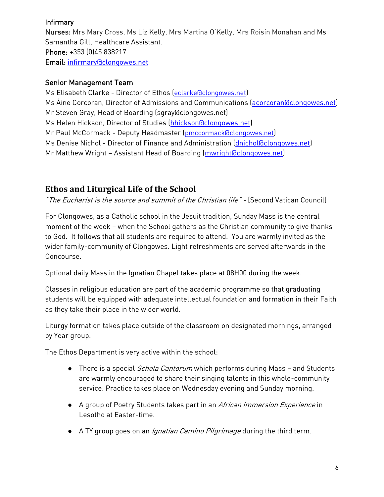#### Infirmary

Nurses: Mrs Mary Cross, Ms Liz Kelly, Mrs Martina O'Kelly, Mrs Roisín Monahan and Ms Samantha Gill, Healthcare Assistant. Phone: +353 (0)45 838217 Email: [infirmary@clongowes.net](mailto:infirmary@clongowes.net)

#### Senior Management Team

Ms Elisabeth Clarke - Director of Ethos ([eclarke@clongowes.net](mailto:msheil@clongowes.net)) Ms Áine Corcoran, Director of Admissions and Communications [\(acorcoran@clongowes.net\)](mailto:macorcoran@clongowes.net) Mr Steven Gray, Head of Boarding (sgray@clongowes.net) Ms Helen Hickson, Director of Studies [\(hhickson@clongowes.net\)](mailto:hhickson@clongowes.net) Mr Paul McCormack - Deputy Headmaster ([pmccormack@clongowes.net](mailto:pmccormack@clongowes.net)) Ms Denise Nichol - Director of Finance and Administration [\(dnichol@clongowes.net\)](mailto:dnichol@clongowes.net) Mr Matthew Wright – Assistant Head of Boarding [\(mwright@clongowes.net\)](mailto:mwright@clongowes.net)

## <span id="page-5-0"></span>**Ethos and Liturgical Life of the School**

"The Eucharist is the source and summit of the Christian life" - [Second Vatican Council]

For Clongowes, as a Catholic school in the Jesuit tradition, Sunday Mass is the central moment of the week – when the School gathers as the Christian community to give thanks to God. It follows that all students are required to attend. You are warmly invited as the wider family-community of Clongowes. Light refreshments are served afterwards in the Concourse.

Optional daily Mass in the Ignatian Chapel takes place at 08H00 during the week.

Classes in religious education are part of the academic programme so that graduating students will be equipped with adequate intellectual foundation and formation in their Faith as they take their place in the wider world.

Liturgy formation takes place outside of the classroom on designated mornings, arranged by Year group.

The Ethos Department is very active within the school:

- There is a special *Schola Cantorum* which performs during Mass and Students are warmly encouraged to share their singing talents in this whole-community service. Practice takes place on Wednesday evening and Sunday morning.
- A group of Poetry Students takes part in an African Immersion Experience in Lesotho at Easter-time.
- A TY group goes on an *Ignatian Camino Pilgrimage* during the third term.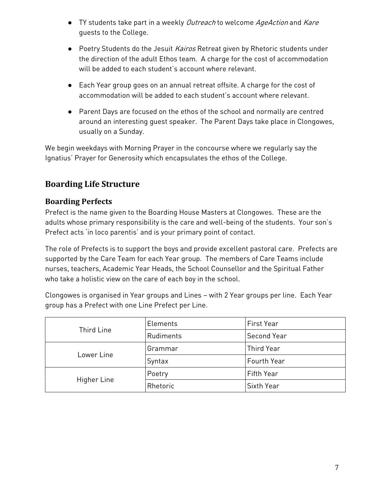- TY students take part in a weekly Outreach to welcome AgeAction and Kare guests to the College.
- Poetry Students do the Jesuit Kairos Retreat given by Rhetoric students under the direction of the adult Ethos team. A charge for the cost of accommodation will be added to each student's account where relevant.
- Each Year group goes on an annual retreat offsite. A charge for the cost of accommodation will be added to each student's account where relevant.
- Parent Days are focused on the ethos of the school and normally are centred around an interesting guest speaker. The Parent Days take place in Clongowes, usually on a Sunday.

We begin weekdays with Morning Prayer in the concourse where we regularly say the Ignatius' Prayer for Generosity which encapsulates the ethos of the College.

## <span id="page-6-0"></span>**Boarding Life Structure**

#### <span id="page-6-1"></span>**Boarding Perfects**

Prefect is the name given to the Boarding House Masters at Clongowes. These are the adults whose primary responsibility is the care and well-being of the students. Your son's Prefect acts 'in loco parentis' and is your primary point of contact.

The role of Prefects is to support the boys and provide excellent pastoral care. Prefects are supported by the Care Team for each Year group. The members of Care Teams include nurses, teachers, Academic Year Heads, the School Counsellor and the Spiritual Father who take a holistic view on the care of each boy in the school.

Clongowes is organised in Year groups and Lines – with 2 Year groups per line. Each Year group has a Prefect with one Line Prefect per Line.

| Third Line  | Elements  | First Year         |
|-------------|-----------|--------------------|
|             | Rudiments | Second Year        |
| Lower Line  | Grammar   | <b>Third Year</b>  |
|             | Syntax    | <b>Fourth Year</b> |
| Higher Line | Poetry    | Fifth Year         |
|             | Rhetoric  | Sixth Year         |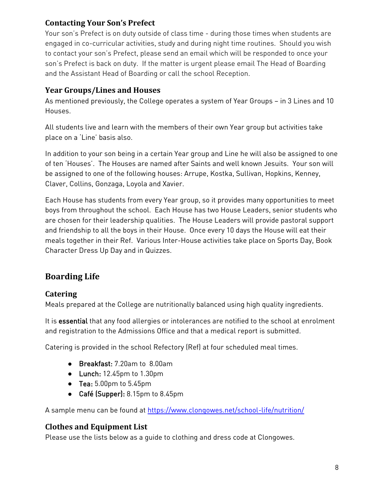## <span id="page-7-0"></span>**Contacting Your Son's Prefect**

Your son's Prefect is on duty outside of class time - during those times when students are engaged in co-curricular activities, study and during night time routines. Should you wish to contact your son's Prefect, please send an email which will be responded to once your son's Prefect is back on duty. If the matter is urgent please email The Head of Boarding and the Assistant Head of Boarding or call the school Reception.

#### <span id="page-7-1"></span>**Year Groups/Lines and Houses**

As mentioned previously, the College operates a system of Year Groups – in 3 Lines and 10 Houses.

All students live and learn with the members of their own Year group but activities take place on a 'Line' basis also.

In addition to your son being in a certain Year group and Line he will also be assigned to one of ten 'Houses'. The Houses are named after Saints and well known Jesuits. Your son will be assigned to one of the following houses: Arrupe, Kostka, Sullivan, Hopkins, Kenney, Claver, Collins, Gonzaga, Loyola and Xavier.

Each House has students from every Year group, so it provides many opportunities to meet boys from throughout the school. Each House has two House Leaders, senior students who are chosen for their leadership qualities. The House Leaders will provide pastoral support and friendship to all the boys in their House. Once every 10 days the House will eat their meals together in their Ref. Various Inter-House activities take place on Sports Day, Book Character Dress Up Day and in Quizzes.

## <span id="page-7-2"></span>**Boarding Life**

## <span id="page-7-3"></span>**Catering**

Meals prepared at the College are nutritionally balanced using high quality ingredients.

It is essential that any food allergies or intolerances are notified to the school at enrolment and registration to the Admissions Office and that a medical report is submitted.

Catering is provided in the school Refectory (Ref) at four scheduled meal times.

- Breakfast: 7.20am to 8.00am
- Lunch: 12.45pm to 1.30pm
- Tea: 5.00pm to 5.45pm
- Café (Supper): 8.15pm to 8.45pm

A sample menu can be found at<https://www.clongowes.net/school-life/nutrition/>

#### <span id="page-7-4"></span>**Clothes and Equipment List**

Please use the lists below as a guide to clothing and dress code at Clongowes.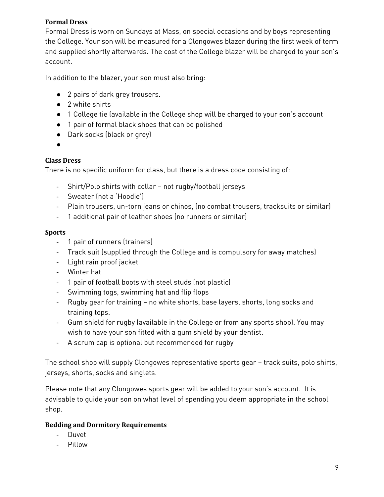#### <span id="page-8-0"></span>**Formal Dress**

Formal Dress is worn on Sundays at Mass, on special occasions and by boys representing the College. Your son will be measured for a Clongowes blazer during the first week of term and supplied shortly afterwards. The cost of the College blazer will be charged to your son's account.

In addition to the blazer, your son must also bring:

- 2 pairs of dark grey trousers.
- 2 white shirts
- 1 College tie (available in the College shop will be charged to your son's account
- 1 pair of formal black shoes that can be polished
- Dark socks (black or grey)
- ●

#### <span id="page-8-1"></span>**Class Dress**

There is no specific uniform for class, but there is a dress code consisting of:

- Shirt/Polo shirts with collar not rugby/football jerseys
- Sweater (not a 'Hoodie')
- Plain trousers, un-torn jeans or chinos, (no combat trousers, tracksuits or similar)
- 1 additional pair of leather shoes (no runners or similar)

#### <span id="page-8-2"></span>**Sports**

- 1 pair of runners (trainers)
- Track suit (supplied through the College and is compulsory for away matches)
- Light rain proof jacket
- Winter hat
- 1 pair of football boots with steel studs (not plastic)
- Swimming togs, swimming hat and flip flops
- Rugby gear for training no white shorts, base layers, shorts, long socks and training tops.
- Gum shield for rugby (available in the College or from any sports shop). You may wish to have your son fitted with a gum shield by your dentist.
- A scrum cap is optional but recommended for rugby

The school shop will supply Clongowes representative sports gear – track suits, polo shirts, jerseys, shorts, socks and singlets.

Please note that any Clongowes sports gear will be added to your son's account. It is advisable to guide your son on what level of spending you deem appropriate in the school shop.

#### <span id="page-8-3"></span>**Bedding and Dormitory Requirements**

- Duvet
- Pillow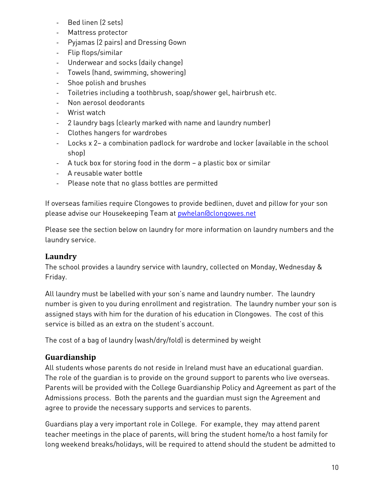- Bed linen (2 sets)
- Mattress protector
- Pyjamas (2 pairs) and Dressing Gown
- Flip flops/similar
- Underwear and socks (daily change)
- Towels (hand, swimming, showering)
- Shoe polish and brushes
- Toiletries including a toothbrush, soap/shower gel, hairbrush etc.
- Non aerosol deodorants
- Wrist watch
- 2 laundry bags (clearly marked with name and laundry number)
- Clothes hangers for wardrobes
- Locks x 2– a combination padlock for wardrobe and locker (available in the school shop)
- A tuck box for storing food in the dorm a plastic box or similar
- A reusable water bottle
- Please note that no glass bottles are permitted

If overseas families require Clongowes to provide bedlinen, duvet and pillow for your son please advise our Housekeeping Team at pwhela[n@clongowes.net](mailto:ouse@clongowes.net) 

Please see the section below on laundry for more information on laundry numbers and the laundry service.

#### <span id="page-9-0"></span>**Laundry**

The school provides a laundry service with laundry, collected on Monday, Wednesday & Friday.

All laundry must be labelled with your son's name and laundry number. The laundry number is given to you during enrollment and registration. The laundry number your son is assigned stays with him for the duration of his education in Clongowes. The cost of this service is billed as an extra on the student's account.

The cost of a bag of laundry (wash/dry/fold) is determined by weight

## <span id="page-9-1"></span>**Guardianship**

All students whose parents do not reside in Ireland must have an educational guardian. The role of the guardian is to provide on the ground support to parents who live overseas. Parents will be provided with the College Guardianship Policy and Agreement as part of the Admissions process. Both the parents and the guardian must sign the Agreement and agree to provide the necessary supports and services to parents.

Guardians play a very important role in College. For example, they may attend parent teacher meetings in the place of parents, will bring the student home/to a host family for long weekend breaks/holidays, will be required to attend should the student be admitted to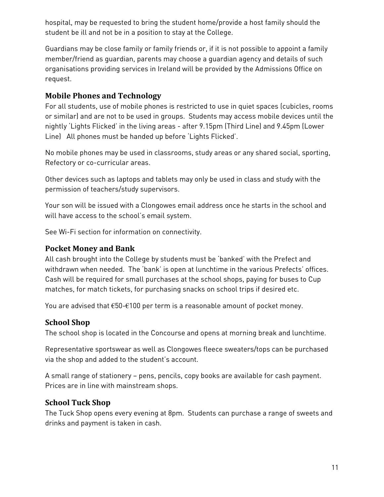hospital, may be requested to bring the student home/provide a host family should the student be ill and not be in a position to stay at the College.

Guardians may be close family or family friends or, if it is not possible to appoint a family member/friend as guardian, parents may choose a guardian agency and details of such organisations providing services in Ireland will be provided by the Admissions Office on request.

#### <span id="page-10-0"></span>**Mobile Phones and Technology**

For all students, use of mobile phones is restricted to use in quiet spaces (cubicles, rooms or similar) and are not to be used in groups. Students may access mobile devices until the nightly 'Lights Flicked' in the living areas - after 9.15pm (Third Line) and 9.45pm (Lower Line) All phones must be handed up before 'Lights Flicked'.

No mobile phones may be used in classrooms, study areas or any shared social, sporting, Refectory or co-curricular areas.

Other devices such as laptops and tablets may only be used in class and study with the permission of teachers/study supervisors.

Your son will be issued with a Clongowes email address once he starts in the school and will have access to the school's email system.

See Wi-Fi section for information on connectivity.

#### <span id="page-10-1"></span>**Pocket Money and Bank**

All cash brought into the College by students must be 'banked' with the Prefect and withdrawn when needed. The 'bank' is open at lunchtime in the various Prefects' offices. Cash will be required for small purchases at the school shops, paying for buses to Cup matches, for match tickets, for purchasing snacks on school trips if desired etc.

You are advised that  $\epsilon$ 50- $\epsilon$ 100 per term is a reasonable amount of pocket money.

#### <span id="page-10-2"></span>**School Shop**

The school shop is located in the Concourse and opens at morning break and lunchtime.

Representative sportswear as well as Clongowes fleece sweaters/tops can be purchased via the shop and added to the student's account.

A small range of stationery – pens, pencils, copy books are available for cash payment. Prices are in line with mainstream shops.

#### <span id="page-10-3"></span>**School Tuck Shop**

The Tuck Shop opens every evening at 8pm. Students can purchase a range of sweets and drinks and payment is taken in cash.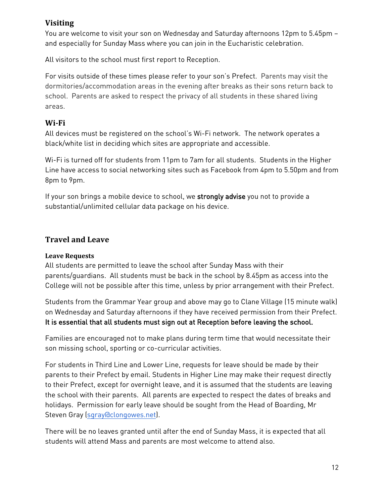#### <span id="page-11-0"></span>**Visiting**

You are welcome to visit your son on Wednesday and Saturday afternoons 12pm to 5.45pm – and especially for Sunday Mass where you can join in the Eucharistic celebration.

All visitors to the school must first report to Reception.

For visits outside of these times please refer to your son's Prefect. Parents may visit the dormitories/accommodation areas in the evening after breaks as their sons return back to school. Parents are asked to respect the privacy of all students in these shared living areas.

#### <span id="page-11-1"></span>**Wi-Fi**

All devices must be registered on the school's Wi-Fi network. The network operates a black/white list in deciding which sites are appropriate and accessible.

Wi-Fi is turned off for students from 11pm to 7am for all students. Students in the Higher Line have access to social networking sites such as Facebook from 4pm to 5.50pm and from 8pm to 9pm.

If your son brings a mobile device to school, we strongly advise you not to provide a substantial/unlimited cellular data package on his device.

#### <span id="page-11-2"></span>**Travel and Leave**

#### <span id="page-11-3"></span>**Leave Requests**

All students are permitted to leave the school after Sunday Mass with their parents/guardians. All students must be back in the school by 8.45pm as access into the College will not be possible after this time, unless by prior arrangement with their Prefect.

Students from the Grammar Year group and above may go to Clane Village (15 minute walk) on Wednesday and Saturday afternoons if they have received permission from their Prefect. It is essential that all students must sign out at Reception before leaving the school.

Families are encouraged not to make plans during term time that would necessitate their son missing school, sporting or co-curricular activities.

For students in Third Line and Lower Line, requests for leave should be made by their parents to their Prefect by email. Students in Higher Line may make their request directly to their Prefect, except for overnight leave, and it is assumed that the students are leaving the school with their parents. All parents are expected to respect the dates of breaks and holidays. Permission for early leave should be sought from the Head of Boarding, Mr Steven Gray [\(sgray@clongowes.net\)](mailto:sgray@clongowes.net).

There will be no leaves granted until after the end of Sunday Mass, it is expected that all students will attend Mass and parents are most welcome to attend also.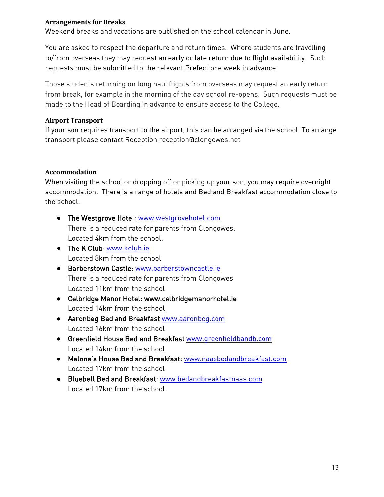#### <span id="page-12-0"></span>**Arrangements for Breaks**

Weekend breaks and vacations are published on the school calendar in June.

You are asked to respect the departure and return times. Where students are travelling to/from overseas they may request an early or late return due to flight availability. Such requests must be submitted to the relevant Prefect one week in advance.

Those students returning on long haul flights from overseas may request an early return from break, for example in the morning of the day school re-opens. Such requests must be made to the Head of Boarding in advance to ensure access to the College.

#### <span id="page-12-1"></span>**Airport Transport**

If your son requires transport to the airport, this can be arranged via the school. To arrange transport please contact Reception reception@clongowes.net

#### <span id="page-12-2"></span>**Accommodation**

When visiting the school or dropping off or picking up your son, you may require overnight accommodation. There is a range of hotels and Bed and Breakfast accommodation close to the school.

- The Westgrove Hotel: [www.westgrovehotel.com](http://www.westgrovehotel.com/) There is a reduced rate for parents from Clongowes. Located 4km from the school.
- The K Club: [www.kclub.ie](http://www.kclub.ie/) Located 8km from the school
- Barberstown Castle: [www.barberstowncastle.ie](http://www.barberstowncastle.ie/) There is a reduced rate for parents from Clongowes Located 11km from the school
- Celbridge Manor Hotel: www.celbridgemanorhotel.ie Located 14km from the school
- Aaronbeg Bed and Breakfast [www.aaronbeg.com](http://www.aaronbeg.com/) Located 16km from the school
- Greenfield House Bed and Breakfast [www.greenfieldbandb.com](about:blank) Located 14km from the school
- Malone's House Bed and Breakfast: [www.naasbedandbreakfast.com](http://www.naasbedandbreakfast.com/) Located 17km from the school
- Bluebell Bed and Breakfast: [www.bedandbreakfastnaas.com](http://www.bedandbreakfastnaas.com/) Located 17km from the school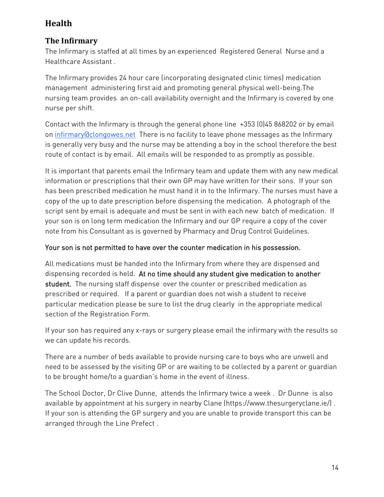## <span id="page-13-0"></span>**Health**

## <span id="page-13-1"></span>**The Infirmary**

The Infirmary is staffed at all times by an experienced Registered General Nurse and a Healthcare Assistant .

The Infirmary provides 24 hour care (incorporating designated clinic times) medication management administering first aid and promoting general physical well-being.The nursing team provides an on-call availability overnight and the Infirmary is covered by one nurse per shift.

Contact with the Infirmary is through the general phone line +353 (0)45 868202 or by email on [infirmary@clongowes.net](mailto:infirmary@clongowes.net) There is no facility to leave phone messages as the Infirmary is generally very busy and the nurse may be attending a boy in the school therefore the best route of contact is by email. All emails will be responded to as promptly as possible.

It is important that parents email the Infirmary team and update them with any new medical information or prescriptions that their own GP may have written for their sons. If your son has been prescribed medication he must hand it in to the Infirmary. The nurses must have a copy of the up to date prescription before dispensing the medication. A photograph of the script sent by email is adequate and must be sent in with each new batch of medication. If your son is on long term medication the Infirmary and our GP require a copy of the cover note from his Consultant as is governed by Pharmacy and Drug Control Guidelines.

#### Your son is not permitted to have over the counter medication in his possession.

All medications must be handed into the Infirmary from where they are dispensed and dispensing recorded is held. At no time should any student give medication to another student. The nursing staff dispense over the counter or prescribed medication as prescribed or required. If a parent or guardian does not wish a student to receive particular medication please be sure to list the drug clearly in the appropriate medical section of the Registration Form.

If your son has required any x-rays or surgery please email the infirmary with the results so we can update his records.

There are a number of beds available to provide nursing care to boys who are unwell and need to be assessed by the visiting GP or are waiting to be collected by a parent or guardian to be brought home/to a guardian's home in the event of illness.

The School Doctor, Dr Clive Dunne, attends the Infirmary twice a week . Dr Dunne is also available by appointment at his surgery in nearby Clane (https://www.thesurgeryclane.ie/) . If your son is attending the GP surgery and you are unable to provide transport this can be arranged through the Line Prefect .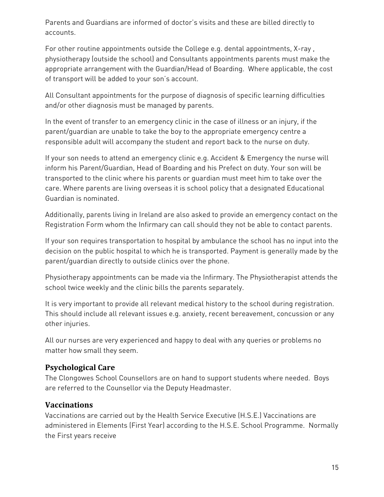Parents and Guardians are informed of doctor's visits and these are billed directly to accounts.

For other routine appointments outside the College e.g. dental appointments, X-ray , physiotherapy (outside the school) and Consultants appointments parents must make the appropriate arrangement with the Guardian/Head of Boarding. Where applicable, the cost of transport will be added to your son's account.

All Consultant appointments for the purpose of diagnosis of specific learning difficulties and/or other diagnosis must be managed by parents.

In the event of transfer to an emergency clinic in the case of illness or an injury, if the parent/guardian are unable to take the boy to the appropriate emergency centre a responsible adult will accompany the student and report back to the nurse on duty.

If your son needs to attend an emergency clinic e.g. Accident & Emergency the nurse will inform his Parent/Guardian, Head of Boarding and his Prefect on duty. Your son will be transported to the clinic where his parents or guardian must meet him to take over the care. Where parents are living overseas it is school policy that a designated Educational Guardian is nominated.

Additionally, parents living in Ireland are also asked to provide an emergency contact on the Registration Form whom the Infirmary can call should they not be able to contact parents.

If your son requires transportation to hospital by ambulance the school has no input into the decision on the public hospital to which he is transported. Payment is generally made by the parent/guardian directly to outside clinics over the phone.

Physiotherapy appointments can be made via the Infirmary. The Physiotherapist attends the school twice weekly and the clinic bills the parents separately.

It is very important to provide all relevant medical history to the school during registration. This should include all relevant issues e.g. anxiety, recent bereavement, concussion or any other injuries.

All our nurses are very experienced and happy to deal with any queries or problems no matter how small they seem.

#### <span id="page-14-0"></span>**Psychological Care**

The Clongowes School Counsellors are on hand to support students where needed. Boys are referred to the Counsellor via the Deputy Headmaster.

#### <span id="page-14-1"></span>**Vaccinations**

Vaccinations are carried out by the Health Service Executive (H.S.E.) Vaccinations are administered in Elements (First Year) according to the H.S.E. School Programme. Normally the First years receive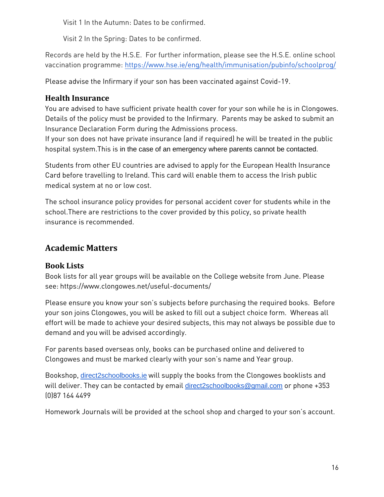Visit 1 In the Autumn: Dates to be confirmed.

Visit 2 In the Spring: Dates to be confirmed.

Records are held by the H.S.E. For further information, please see the H.S.E. online school vaccination programme:<https://www.hse.ie/eng/health/immunisation/pubinfo/schoolprog/>

Please advise the Infirmary if your son has been vaccinated against Covid-19.

## **Health Insurance**

You are advised to have sufficient private health cover for your son while he is in Clongowes. Details of the policy must be provided to the Infirmary. Parents may be asked to submit an Insurance Declaration Form during the Admissions process.

If your son does not have private insurance (and if required) he will be treated in the public hospital system.This is in the case of an emergency where parents cannot be contacted.

Students from other EU countries are advised to apply for the European Health Insurance Card before travelling to Ireland. This card will enable them to access the Irish public medical system at no or low cost.

The school insurance policy provides for personal accident cover for students while in the school.There are restrictions to the cover provided by this policy, so private health insurance is recommended.

## <span id="page-15-0"></span>**Academic Matters**

## <span id="page-15-1"></span>**Book Lists**

Book lists for all year groups will be available on the College website from June. Please see: https://www.clongowes.net/useful-documents/

Please ensure you know your son's subjects before purchasing the required books. Before your son joins Clongowes, you will be asked to fill out a subject choice form. Whereas all effort will be made to achieve your desired subjects, this may not always be possible due to demand and you will be advised accordingly.

For parents based overseas only, books can be purchased online and delivered to Clongowes and must be marked clearly with your son's name and Year group.

Bookshop, [direct2schoolbooks.ie](http://direct2schoolbooks.ie/) will supply the books from the Clongowes booklists and will deliver. They can be contacted by email [direct2schoolbooks@gmail.com](mailto:direct2schoolbooks@gmail.com) or phone +353 (0)87 164 4499

Homework Journals will be provided at the school shop and charged to your son's account.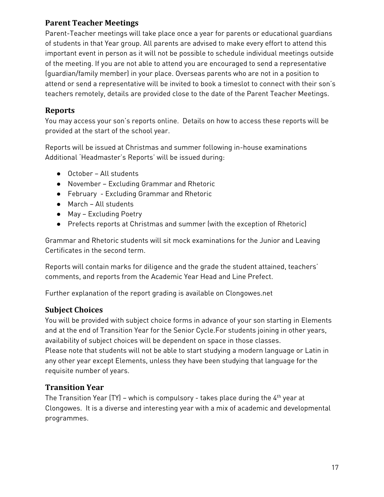#### <span id="page-16-0"></span>**Parent Teacher Meetings**

Parent-Teacher meetings will take place once a year for parents or educational guardians of students in that Year group. All parents are advised to make every effort to attend this important event in person as it will not be possible to schedule individual meetings outside of the meeting. If you are not able to attend you are encouraged to send a representative (guardian/family member) in your place. Overseas parents who are not in a position to attend or send a representative will be invited to book a timeslot to connect with their son's teachers remotely, details are provided close to the date of the Parent Teacher Meetings.

#### <span id="page-16-1"></span>**Reports**

You may access your son's reports online. Details on how to access these reports will be provided at the start of the school year.

Reports will be issued at Christmas and summer following in-house examinations Additional 'Headmaster's Reports' will be issued during:

- October All students
- November Excluding Grammar and Rhetoric
- February Excluding Grammar and Rhetoric
- March All students
- May Excluding Poetry
- Prefects reports at Christmas and summer (with the exception of Rhetoric)

Grammar and Rhetoric students will sit mock examinations for the Junior and Leaving Certificates in the second term.

Reports will contain marks for diligence and the grade the student attained, teachers' comments, and reports from the Academic Year Head and Line Prefect.

Further explanation of the report grading is available on Clongowes.net

#### **Subject Choices**

You will be provided with subject choice forms in advance of your son starting in Elements and at the end of Transition Year for the Senior Cycle.For students joining in other years, availability of subject choices will be dependent on space in those classes. Please note that students will not be able to start studying a modern language or Latin in any other year except Elements, unless they have been studying that language for the requisite number of years.

#### <span id="page-16-2"></span>**Transition Year**

The Transition Year (TY) – which is compulsory - takes place during the  $4<sup>th</sup>$  year at Clongowes. It is a diverse and interesting year with a mix of academic and developmental programmes.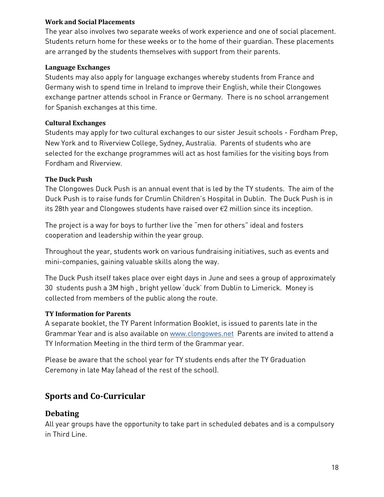#### <span id="page-17-0"></span>**Work and Social Placements**

The year also involves two separate weeks of work experience and one of social placement. Students return home for these weeks or to the home of their guardian. These placements are arranged by the students themselves with support from their parents.

#### <span id="page-17-1"></span>**Language Exchanges**

Students may also apply for language exchanges whereby students from France and Germany wish to spend time in Ireland to improve their English, while their Clongowes exchange partner attends school in France or Germany. There is no school arrangement for Spanish exchanges at this time.

#### <span id="page-17-2"></span>**Cultural Exchanges**

Students may apply for two cultural exchanges to our sister Jesuit schools - Fordham Prep, New York and to Riverview College, Sydney, Australia. Parents of students who are selected for the exchange programmes will act as host families for the visiting boys from Fordham and Riverview.

#### <span id="page-17-3"></span>**The Duck Push**

The Clongowes Duck Push is an annual event that is led by the TY students. The aim of the Duck Push is to raise funds for Crumlin Children's Hospital in Dublin. The Duck Push is in its 28th year and Clongowes students have raised over €2 million since its inception.

The project is a way for boys to further live the "men for others" ideal and fosters cooperation and leadership within the year group.

Throughout the year, students work on various fundraising initiatives, such as events and mini-companies, gaining valuable skills along the way.

The Duck Push itself takes place over eight days in June and sees a group of approximately 30 students push a 3M high , bright yellow 'duck' from Dublin to Limerick. Money is collected from members of the public along the route.

#### <span id="page-17-4"></span>**TY Information for Parents**

A separate booklet, the TY Parent Information Booklet, is issued to parents late in the Grammar Year and is also available on [www.clongowes.net](http://www.clongowes.net/) Parents are invited to attend a TY Information Meeting in the third term of the Grammar year.

Please be aware that the school year for TY students ends after the TY Graduation Ceremony in late May (ahead of the rest of the school).

#### <span id="page-17-5"></span>**Sports and Co-Curricular**

#### <span id="page-17-6"></span>**Debating**

All year groups have the opportunity to take part in scheduled debates and is a compulsory in Third Line.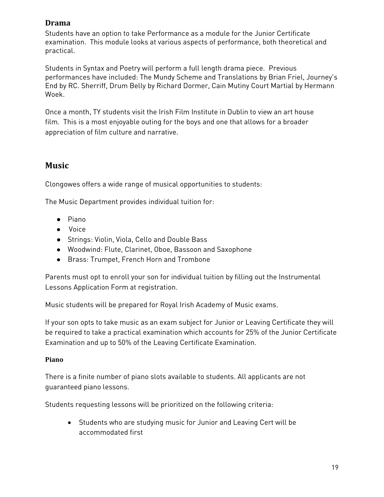#### <span id="page-18-0"></span>**Drama**

Students have an option to take Performance as a module for the Junior Certificate examination. This module looks at various aspects of performance, both theoretical and practical.

Students in Syntax and Poetry will perform a full length drama piece. Previous performances have included: The Mundy Scheme and Translations by Brian Friel, Journey's End by RC. Sherriff, Drum Belly by Richard Dormer, Cain Mutiny Court Martial by Hermann Woek.

Once a month, TY students visit the Irish Film Institute in Dublin to view an art house film. This is a most enjoyable outing for the boys and one that allows for a broader appreciation of film culture and narrative.

## <span id="page-18-1"></span>**Music**

Clongowes offers a wide range of musical opportunities to students:

The Music Department provides individual tuition for:

- Piano
- Voice
- Strings: Violin, Viola, Cello and Double Bass
- Woodwind: Flute, Clarinet, Oboe, Bassoon and Saxophone
- Brass: Trumpet, French Horn and Trombone

Parents must opt to enroll your son for individual tuition by filling out the Instrumental Lessons Application Form at registration.

Music students will be prepared for Royal Irish Academy of Music exams.

If your son opts to take music as an exam subject for Junior or Leaving Certificate they will be required to take a practical examination which accounts for 25% of the Junior Certificate Examination and up to 50% of the Leaving Certificate Examination.

#### <span id="page-18-2"></span>**Piano**

There is a finite number of piano slots available to students. All applicants are not guaranteed piano lessons.

Students requesting lessons will be prioritized on the following criteria:

• Students who are studying music for Junior and Leaving Cert will be accommodated first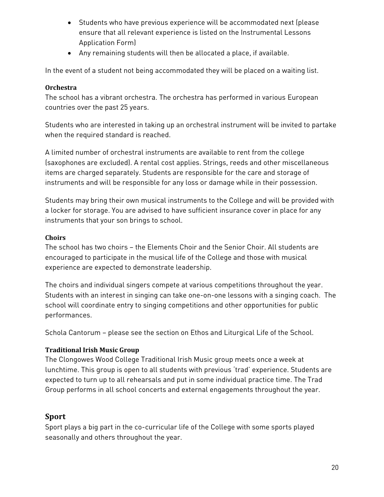- Students who have previous experience will be accommodated next (please ensure that all relevant experience is listed on the Instrumental Lessons Application Form)
- Any remaining students will then be allocated a place, if available.

In the event of a student not being accommodated they will be placed on a waiting list.

#### <span id="page-19-0"></span>**Orchestra**

The school has a vibrant orchestra. The orchestra has performed in various European countries over the past 25 years.

Students who are interested in taking up an orchestral instrument will be invited to partake when the required standard is reached.

A limited number of orchestral instruments are available to rent from the college (saxophones are excluded). A rental cost applies. Strings, reeds and other miscellaneous items are charged separately. Students are responsible for the care and storage of instruments and will be responsible for any loss or damage while in their possession.

Students may bring their own musical instruments to the College and will be provided with a locker for storage. You are advised to have sufficient insurance cover in place for any instruments that your son brings to school.

#### <span id="page-19-1"></span>**Choirs**

The school has two choirs – the Elements Choir and the Senior Choir. All students are encouraged to participate in the musical life of the College and those with musical experience are expected to demonstrate leadership.

The choirs and individual singers compete at various competitions throughout the year. Students with an interest in singing can take one-on-one lessons with a singing coach. The school will coordinate entry to singing competitions and other opportunities for public performances.

Schola Cantorum – please see the section on Ethos and Liturgical Life of the School.

#### **Traditional Irish Music Group**

The Clongowes Wood College Traditional Irish Music group meets once a week at lunchtime. This group is open to all students with previous 'trad' experience. Students are expected to turn up to all rehearsals and put in some individual practice time. The Trad Group performs in all school concerts and external engagements throughout the year.

#### <span id="page-19-2"></span>**Sport**

Sport plays a big part in the co-curricular life of the College with some sports played seasonally and others throughout the year.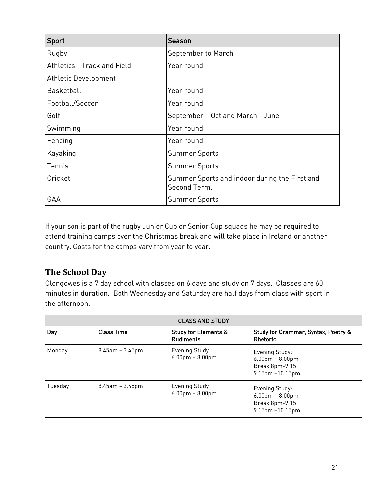| Sport                       | Season                                                        |
|-----------------------------|---------------------------------------------------------------|
| Rugby                       | September to March                                            |
| Athletics - Track and Field | Year round                                                    |
| Athletic Development        |                                                               |
| <b>Basketball</b>           | Year round                                                    |
| Football/Soccer             | Year round                                                    |
| Golf                        | September - Oct and March - June                              |
| Swimming                    | Year round                                                    |
| Fencing                     | Year round                                                    |
| Kayaking                    | <b>Summer Sports</b>                                          |
| Tennis                      | <b>Summer Sports</b>                                          |
| Cricket                     | Summer Sports and indoor during the First and<br>Second Term. |
| GAA                         | <b>Summer Sports</b>                                          |

If your son is part of the rugby Junior Cup or Senior Cup squads he may be required to attend training camps over the Christmas break and will take place in Ireland or another country. Costs for the camps vary from year to year.

## <span id="page-20-0"></span>**The School Day**

Clongowes is a 7 day school with classes on 6 days and study on 7 days. Classes are 60 minutes in duration. Both Wednesday and Saturday are half days from class with sport in the afternoon.

| <b>CLASS AND STUDY</b> |                       |                                                     |                                                                                 |
|------------------------|-----------------------|-----------------------------------------------------|---------------------------------------------------------------------------------|
| Day                    | <b>Class Time</b>     | <b>Study for Elements &amp;</b><br><b>Rudiments</b> | Study for Grammar, Syntax, Poetry &<br>Rhetoric                                 |
| Monday:                | $8.45$ am – $3.45$ pm | <b>Evening Study</b><br>$6.00$ pm – $8.00$ pm       | Evening Study:<br>$6.00$ pm – $8.00$ pm<br>Break 8pm-9.15<br>9.15pm -10.15pm    |
| Tuesday                | $8.45$ am – $3.45$ pm | <b>Evening Study</b><br>$6.00$ pm – $8.00$ pm       | Evening Study:<br>$6.00$ pm – $8.00$ pm<br>Break 8pm-9.15<br>$9.15pm - 10.15pm$ |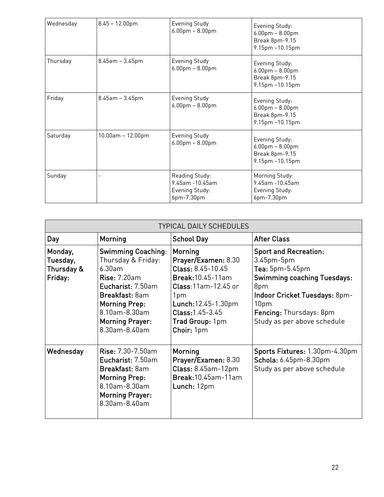| Wednesday | $8.45 - 12.00$ pm     | Evening Study<br>$6.00$ pm - $8.00$ pm                            | Evening Study:<br>$6.00$ pm - $8.00$ pm<br>Break 8pm-9.15<br>9.15pm -10.15pm |
|-----------|-----------------------|-------------------------------------------------------------------|------------------------------------------------------------------------------|
| Thursday  | $8.45$ am - $3.45$ pm | <b>Evening Study</b><br>$6.00$ pm - $8.00$ pm                     | Evening Study:<br>$6.00$ pm - $8.00$ pm<br>Break 8pm-9.15<br>9.15pm -10.15pm |
| Friday    | $8.45$ am - $3.45$ pm | <b>Evening Study</b><br>$6.00$ pm - $8.00$ pm                     | Evening Study:<br>$6.00$ pm - $8.00$ pm<br>Break 8pm-9.15<br>9.15pm -10.15pm |
| Saturday  | $10.00$ am - 12.00pm  | <b>Evening Study</b><br>$6.00$ pm - $8.00$ pm                     | Evening Study:<br>$6.00$ pm - $8.00$ pm<br>Break 8pm-9.15<br>9.15pm -10.15pm |
| Sunday    |                       | Reading Study:<br>9.45am -10.45am<br>Evening Study:<br>6pm-7.30pm | Morning Study:<br>9.45am -10.45am<br>Evening Study:<br>6pm-7.30pm            |

| <b>TYPICAL DAILY SCHEDULES</b>               |                                                                                                                                                                                                             |                                                                                                                                                                                              |                                                                                                                                                                                                                 |
|----------------------------------------------|-------------------------------------------------------------------------------------------------------------------------------------------------------------------------------------------------------------|----------------------------------------------------------------------------------------------------------------------------------------------------------------------------------------------|-----------------------------------------------------------------------------------------------------------------------------------------------------------------------------------------------------------------|
| Day                                          | Morning                                                                                                                                                                                                     | <b>School Day</b>                                                                                                                                                                            | <b>After Class</b>                                                                                                                                                                                              |
| Monday,<br>Tuesday,<br>Thursday &<br>Friday: | <b>Swimming Coaching:</b><br>Thursday & Friday:<br>6.30am<br><b>Rise: 7.20am</b><br>Eucharist: 7.50am<br>Breakfast: 8am<br><b>Morning Prep:</b><br>8.10am-8.30am<br><b>Morning Prayer:</b><br>8.30am-8.40am | Morning<br>Prayer/Examen: 8.30<br>Class: 8.45-10.45<br><b>Break:</b> 10.45-11am<br>Class: 11am-12.45 or<br>1pm<br>Lunch: 12.45 - 1.30pm<br>Class: 1.45-3.45<br>Trad Group: 1pm<br>Choir: 1pm | <b>Sport and Recreation:</b><br>$3.45pm-5pm$<br>Tea: 5pm-5.45pm<br><b>Swimming coaching Tuesdays:</b><br>8pm<br>Indoor Cricket Tuesdays: 8pm-<br>10pm<br>Fencing: Thursdays: 8pm<br>Study as per above schedule |
| Wednesday                                    | <b>Rise: 7.30-7.50am</b><br>Eucharist: 7.50am<br>Breakfast: 8am<br><b>Morning Prep:</b><br>8.10am-8.30am<br><b>Morning Prayer:</b><br>8.30am-8.40am                                                         | Morning<br>Prayer/Examen: 8.30<br>Class: 8.45am-12pm<br><b>Break:</b> 10.45am-11am<br>Lunch: 12pm                                                                                            | Sports Fixtures: 1.30pm-4.30pm<br>Schola: 6.45pm-8.30pm<br>Study as per above schedule                                                                                                                          |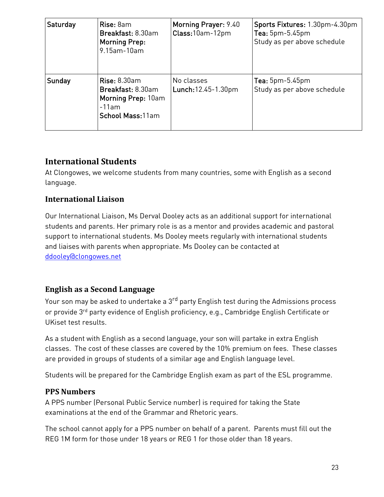| Saturday | Rise: 8am<br>Breakfast: 8.30am<br><b>Morning Prep:</b><br>9.15am-10am                        | Morning Prayer: 9.40<br>Class: 10am-12pm | Sports Fixtures: 1.30pm-4.30pm<br>Tea: 5pm-5.45pm<br>Study as per above schedule |
|----------|----------------------------------------------------------------------------------------------|------------------------------------------|----------------------------------------------------------------------------------|
| Sunday   | <b>Rise: 8.30am</b><br>Breakfast: 8.30am<br>Morning Prep: 10am<br>-11am<br>School Mass: 11am | No classes<br>Lunch: 12.45-1.30pm        | $Tea: 5pm-5.45pm$<br>Study as per above schedule                                 |

## <span id="page-22-0"></span>**International Students**

At Clongowes, we welcome students from many countries, some with English as a second language.

#### **International Liaison**

Our International Liaison, Ms Derval Dooley acts as an additional support for international students and parents. Her primary role is as a mentor and provides academic and pastoral support to international students. Ms Dooley meets regularly with international students and liaises with parents when appropriate. Ms Dooley can be contacted at [ddooley@clongowes.net](mailto:ddooley@clongowes.net)

## <span id="page-22-1"></span>**English as a Second Language**

Your son may be asked to undertake a 3<sup>rd</sup> party English test during the Admissions process or provide 3<sup>rd</sup> party evidence of English proficiency, e.g., Cambridge English Certificate or UKiset test results.

As a student with English as a second language, your son will partake in extra English classes. The cost of these classes are covered by the 10% premium on fees. These classes are provided in groups of students of a similar age and English language level.

Students will be prepared for the Cambridge English exam as part of the ESL programme.

#### <span id="page-22-2"></span>**PPS Numbers**

A PPS number (Personal Public Service number) is required for taking the State examinations at the end of the Grammar and Rhetoric years.

The school cannot apply for a PPS number on behalf of a parent. Parents must fill out the REG 1M form for those under 18 years or REG 1 for those older than 18 years.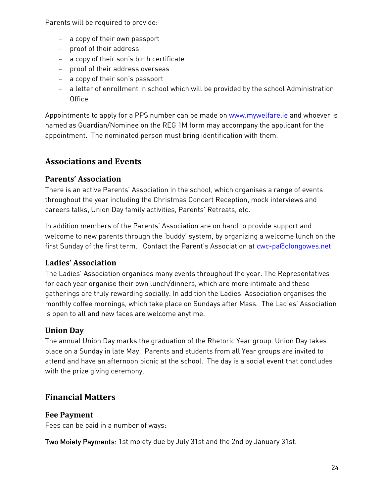Parents will be required to provide:

- − a copy of their own passport
- − proof of their address
- − a copy of their son's birth certificate
- − proof of their address overseas
- − a copy of their son's passport
- − a letter of enrollment in school which will be provided by the school Administration Office.

Appointments to apply for a PPS number can be made on [www.mywelfare.ie](http://www.mywelfare.ie/) and whoever is named as Guardian/Nominee on the REG 1M form may accompany the applicant for the appointment. The nominated person must bring identification with them.

## <span id="page-23-0"></span>**Associations and Events**

#### <span id="page-23-1"></span>**Parents' Association**

There is an active Parents' Association in the school, which organises a range of events throughout the year including the Christmas Concert Reception, mock interviews and careers talks, Union Day family activities, Parents' Retreats, etc.

In addition members of the Parents' Association are on hand to provide support and welcome to new parents through the 'buddy' system, by organizing a welcome lunch on the first Sunday of the first term. Contact the Parent's Association at [cwc-pa@clongowes.net](mailto:cwc-pa@clongowes.net)

## <span id="page-23-2"></span>**Ladies' Association**

The Ladies' Association organises many events throughout the year. The Representatives for each year organise their own lunch/dinners, which are more intimate and these gatherings are truly rewarding socially. In addition the Ladies' Association organises the monthly coffee mornings, which take place on Sundays after Mass. The Ladies' Association is open to all and new faces are welcome anytime.

## <span id="page-23-3"></span>**Union Day**

The annual Union Day marks the graduation of the Rhetoric Year group. Union Day takes place on a Sunday in late May. Parents and students from all Year groups are invited to attend and have an afternoon picnic at the school. The day is a social event that concludes with the prize giving ceremony.

## <span id="page-23-4"></span>**Financial Matters**

#### <span id="page-23-5"></span>**Fee Payment**

Fees can be paid in a number of ways:

Two Moiety Payments: 1st moiety due by July 31st and the 2nd by January 31st.